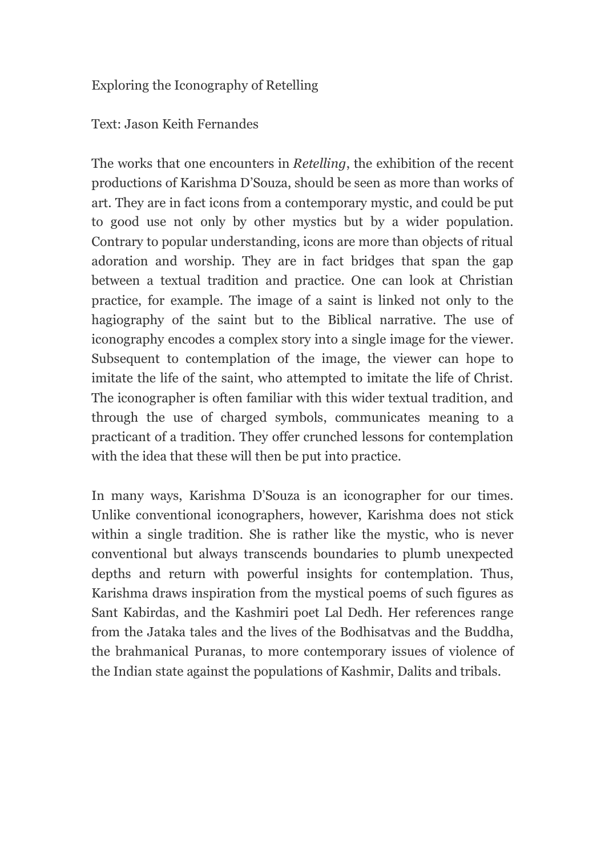## Exploring the Iconography of Retelling

## Text: Jason Keith Fernandes

The works that one encounters in *Retelling*, the exhibition of the recent productions of Karishma D'Souza, should be seen as more than works of art. They are in fact icons from a contemporary mystic, and could be put to good use not only by other mystics but by a wider population. Contrary to popular understanding, icons are more than objects of ritual adoration and worship. They are in fact bridges that span the gap between a textual tradition and practice. One can look at Christian practice, for example. The image of a saint is linked not only to the hagiography of the saint but to the Biblical narrative. The use of iconography encodes a complex story into a single image for the viewer. Subsequent to contemplation of the image, the viewer can hope to imitate the life of the saint, who attempted to imitate the life of Christ. The iconographer is often familiar with this wider textual tradition, and through the use of charged symbols, communicates meaning to a practicant of a tradition. They offer crunched lessons for contemplation with the idea that these will then be put into practice.

In many ways, Karishma D'Souza is an iconographer for our times. Unlike conventional iconographers, however, Karishma does not stick within a single tradition. She is rather like the mystic, who is never conventional but always transcends boundaries to plumb unexpected depths and return with powerful insights for contemplation. Thus, Karishma draws inspiration from the mystical poems of such figures as Sant Kabirdas, and the Kashmiri poet Lal Dedh. Her references range from the Jataka tales and the lives of the Bodhisatvas and the Buddha, the brahmanical Puranas, to more contemporary issues of violence of the Indian state against the populations of Kashmir, Dalits and tribals.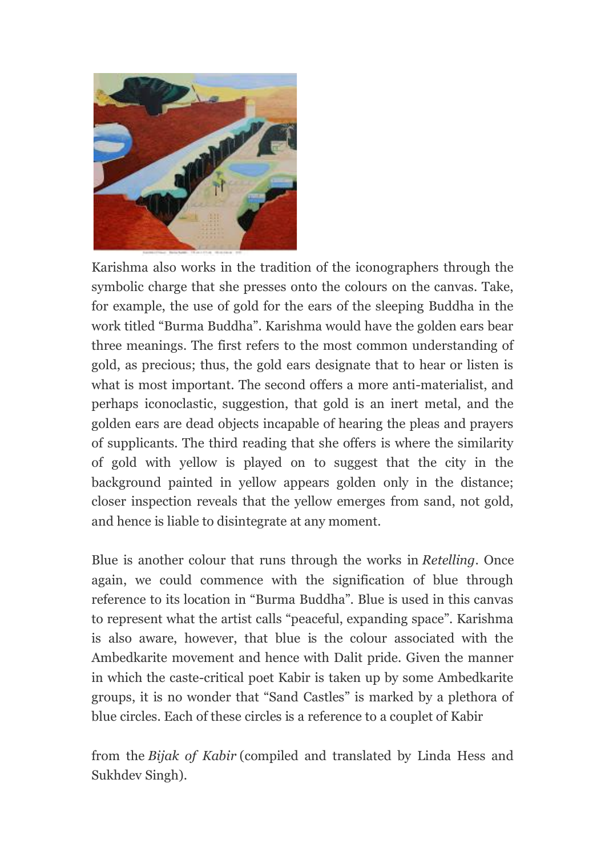

Karishma also works in the tradition of the iconographers through the symbolic charge that she presses onto the colours on the canvas. Take, for example, the use of gold for the ears of the sleeping Buddha in the work titled "Burma Buddha". Karishma would have the golden ears bear three meanings. The first refers to the most common understanding of gold, as precious; thus, the gold ears designate that to hear or listen is what is most important. The second offers a more anti-materialist, and perhaps iconoclastic, suggestion, that gold is an inert metal, and the golden ears are dead objects incapable of hearing the pleas and prayers of supplicants. The third reading that she offers is where the similarity of gold with yellow is played on to suggest that the city in the background painted in yellow appears golden only in the distance; closer inspection reveals that the yellow emerges from sand, not gold, and hence is liable to disintegrate at any moment.

Blue is another colour that runs through the works in *Retelling*. Once again, we could commence with the signification of blue through reference to its location in "Burma Buddha". Blue is used in this canvas to represent what the artist calls "peaceful, expanding space". Karishma is also aware, however, that blue is the colour associated with the Ambedkarite movement and hence with Dalit pride. Given the manner in which the caste-critical poet Kabir is taken up by some Ambedkarite groups, it is no wonder that "Sand Castles" is marked by a plethora of blue circles. Each of these circles is a reference to a couplet of Kabir

from the *Bijak of Kabir* (compiled and translated by Linda Hess and Sukhdev Singh).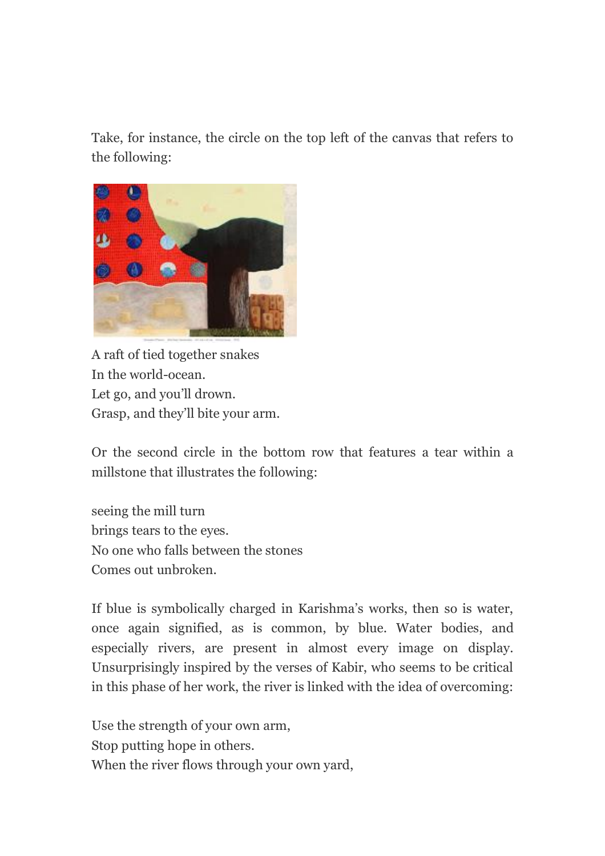Take, for instance, the circle on the top left of the canvas that refers to the following:



A raft of tied together snakes In the world-ocean. Let go, and you'll drown. Grasp, and they'll bite your arm.

Or the second circle in the bottom row that features a tear within a millstone that illustrates the following:

seeing the mill turn brings tears to the eyes. No one who falls between the stones Comes out unbroken.

If blue is symbolically charged in Karishma's works, then so is water, once again signified, as is common, by blue. Water bodies, and especially rivers, are present in almost every image on display. Unsurprisingly inspired by the verses of Kabir, who seems to be critical in this phase of her work, the river is linked with the idea of overcoming:

Use the strength of your own arm, Stop putting hope in others. When the river flows through your own yard,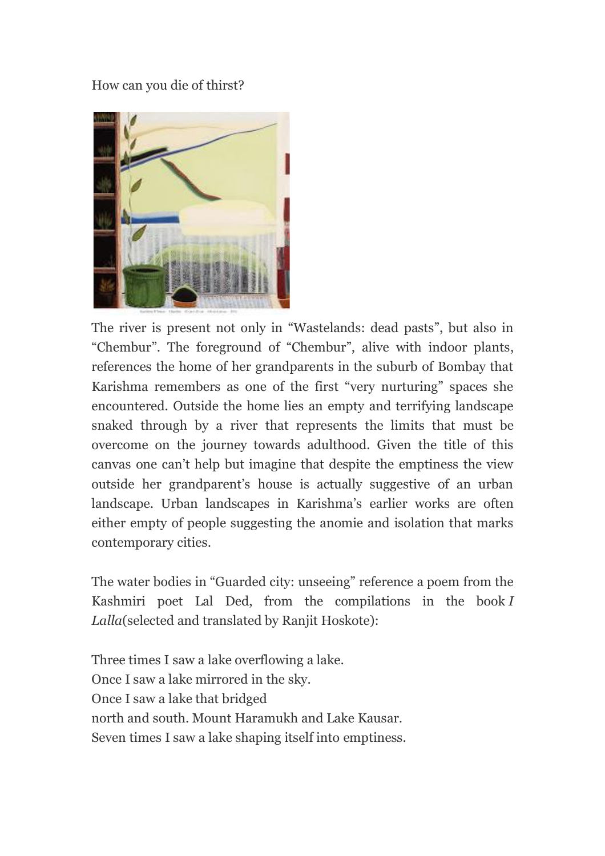How can you die of thirst?



The river is present not only in "Wastelands: dead pasts", but also in "Chembur". The foreground of "Chembur", alive with indoor plants, references the home of her grandparents in the suburb of Bombay that Karishma remembers as one of the first "very nurturing" spaces she encountered. Outside the home lies an empty and terrifying landscape snaked through by a river that represents the limits that must be overcome on the journey towards adulthood. Given the title of this canvas one can't help but imagine that despite the emptiness the view outside her grandparent's house is actually suggestive of an urban landscape. Urban landscapes in Karishma's earlier works are often either empty of people suggesting the anomie and isolation that marks contemporary cities.

The water bodies in "Guarded city: unseeing" reference a poem from the Kashmiri poet Lal Ded, from the compilations in the book *I Lalla*(selected and translated by Ranjit Hoskote):

Three times I saw a lake overflowing a lake. Once I saw a lake mirrored in the sky. Once I saw a lake that bridged north and south. Mount Haramukh and Lake Kausar. Seven times I saw a lake shaping itself into emptiness.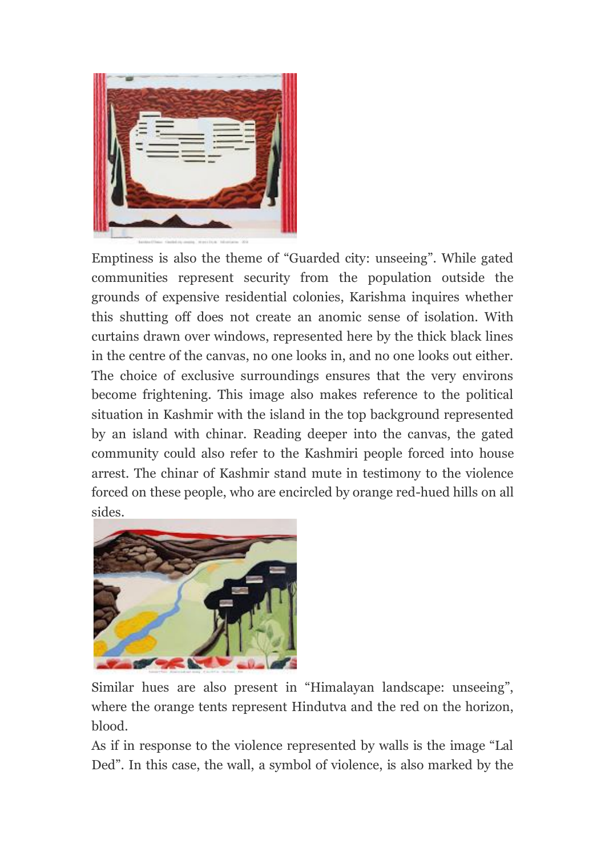

Emptiness is also the theme of "Guarded city: unseeing". While gated communities represent security from the population outside the grounds of expensive residential colonies, Karishma inquires whether this shutting off does not create an anomic sense of isolation. With curtains drawn over windows, represented here by the thick black lines in the centre of the canvas, no one looks in, and no one looks out either. The choice of exclusive surroundings ensures that the very environs become frightening. This image also makes reference to the political situation in Kashmir with the island in the top background represented by an island with chinar. Reading deeper into the canvas, the gated community could also refer to the Kashmiri people forced into house arrest. The chinar of Kashmir stand mute in testimony to the violence forced on these people, who are encircled by orange red-hued hills on all sides.



Similar hues are also present in "Himalayan landscape: unseeing", where the orange tents represent Hindutva and the red on the horizon, blood.

As if in response to the violence represented by walls is the image "Lal Ded". In this case, the wall, a symbol of violence, is also marked by the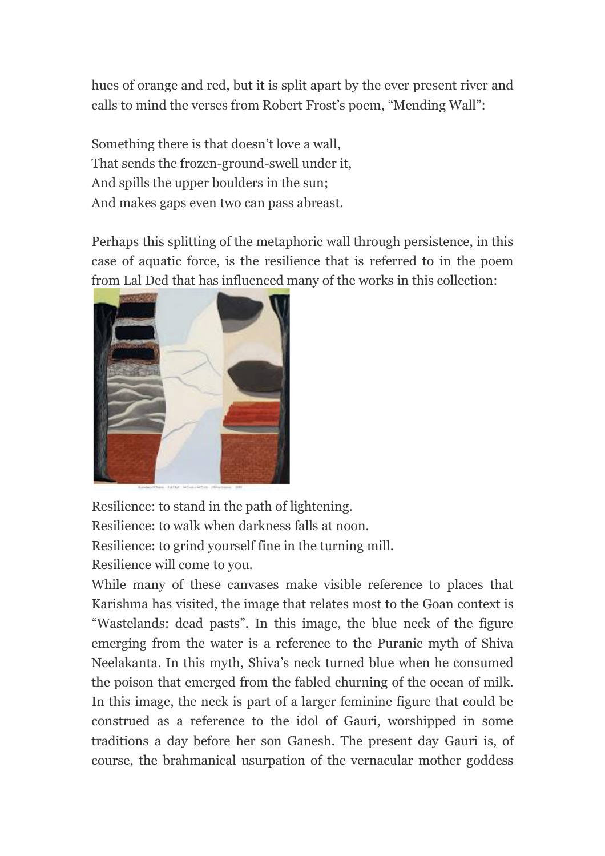hues of orange and red, but it is split apart by the ever present river and calls to mind the verses from Robert Frost's poem, "Mending Wall":

Something there is that doesn't love a wall, That sends the frozen-ground-swell under it, And spills the upper boulders in the sun; And makes gaps even two can pass abreast.

Perhaps this splitting of the metaphoric wall through persistence, in this case of aquatic force, is the resilience that is referred to in the poem [from Lal Ded that has influenced m](https://1.bp.blogspot.com/-SeLjgYWlNC4/WAC-EgokWeI/AAAAAAAABkw/ZqP9yhvlBkk0s7OXFy5qpGrauP8NklyTQCLcB/s1600/Karishma+D)any of the works in this collection:



Resilience: to stand in the path of lightening. Resilience: to walk when darkness falls at noon. Resilience: to grind yourself fine in the turning mill. Resilience will come to you.

While many of these canvases make visible reference to places that Karishma has visited, the image that relates most to the Goan context is "Wastelands: dead pasts". In this image, the blue neck of the figure emerging from the water is a reference to the Puranic myth of Shiva Neelakanta. In this myth, Shiva's neck turned blue when he consumed the poison that emerged from the fabled churning of the ocean of milk. In this image, the neck is part of a larger feminine figure that could be construed as a reference to the idol of Gauri, worshipped in some traditions a day before her son Ganesh. The present day Gauri is, of course, the brahmanical usurpation of the vernacular mother goddess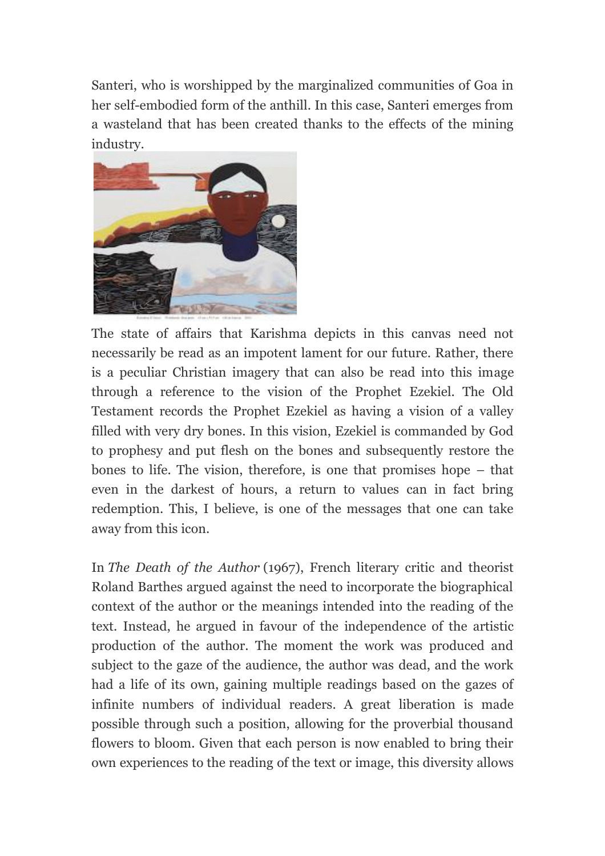Santeri, who is worshipped by the marginalized communities of Goa in her self-embodied form of the anthill. In this case, Santeri emerges from a wasteland that has been created thanks to the effects of the mining industry.



The state of affairs that Karishma depicts in this canvas need not necessarily be read as an impotent lament for our future. Rather, there is a peculiar Christian imagery that can also be read into this image through a reference to the vision of the Prophet Ezekiel. The Old Testament records the Prophet Ezekiel as having a vision of a valley filled with very dry bones. In this vision, Ezekiel is commanded by God to prophesy and put flesh on the bones and subsequently restore the bones to life. The vision, therefore, is one that promises hope – that even in the darkest of hours, a return to values can in fact bring redemption. This, I believe, is one of the messages that one can take away from this icon.

In *The Death of the Author* (1967), French literary critic and theorist Roland Barthes argued against the need to incorporate the biographical context of the author or the meanings intended into the reading of the text. Instead, he argued in favour of the independence of the artistic production of the author. The moment the work was produced and subject to the gaze of the audience, the author was dead, and the work had a life of its own, gaining multiple readings based on the gazes of infinite numbers of individual readers. A great liberation is made possible through such a position, allowing for the proverbial thousand flowers to bloom. Given that each person is now enabled to bring their own experiences to the reading of the text or image, this diversity allows